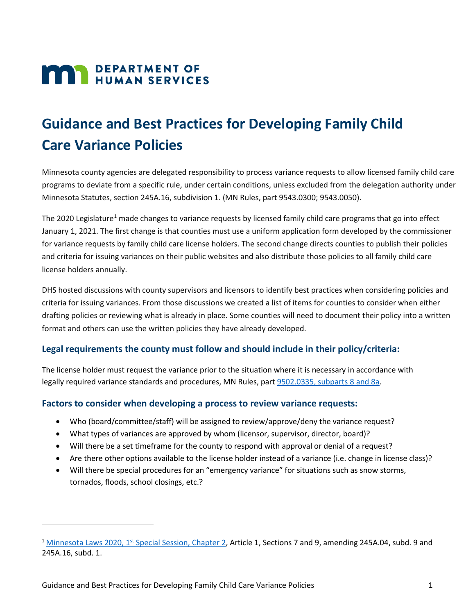# **MAY DEPARTMENT OF HUMAN SERVICES**

# **Guidance and Best Practices for Developing Family Child Care Variance Policies**

Minnesota county agencies are delegated responsibility to process variance requests to allow licensed family child care programs to deviate from a specific rule, under certain conditions, unless excluded from the delegation authority under Minnesota Statutes, section 245A.16, subdivision 1. (MN Rules, part 9543.0300; 9543.0050).

The 2020 Legislature<sup>[1](#page-0-0)</sup> made changes to variance requests by licensed family child care programs that go into effect January 1, 2021. The first change is that counties must use a uniform application form developed by the commissioner for variance requests by family child care license holders. The second change directs counties to publish their policies and criteria for issuing variances on their public websites and also distribute those policies to all family child care license holders annually.

DHS hosted discussions with county supervisors and licensors to identify best practices when considering policies and criteria for issuing variances. From those discussions we created a list of items for counties to consider when either drafting policies or reviewing what is already in place. Some counties will need to document their policy into a written format and others can use the written policies they have already developed.

### **Legal requirements the county must follow and should include in their policy/criteria:**

The license holder must request the variance prior to the situation where it is necessary in accordance with legally required variance standards and procedures, MN Rules, part [9502.0335, subparts 8 and 8a.](https://www.revisor.mn.gov/rules/9502.0335/#rule.9502.0335.8)

#### **Factors to consider when developing a process to review variance requests:**

- Who (board/committee/staff) will be assigned to review/approve/deny the variance request?
- What types of variances are approved by whom (licensor, supervisor, director, board)?
- Will there be a set timeframe for the county to respond with approval or denial of a request?
- Are there other options available to the license holder instead of a variance (i.e. change in license class)?
- Will there be special procedures for an "emergency variance" for situations such as snow storms, tornados, floods, school closings, etc.?

l

<span id="page-0-0"></span><sup>&</sup>lt;sup>1</sup> Minnesota Laws 2020, 1<sup>st</sup> Special Session, Chapter 2, Article 1, Sections 7 and 9, amending 245A.04, subd. 9 and 245A.16, subd. 1.